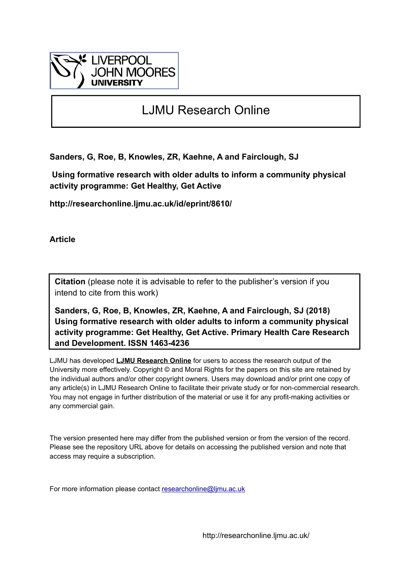

# LJMU Research Online

**Sanders, G, Roe, B, Knowles, ZR, Kaehne, A and Fairclough, SJ**

 **Using formative research with older adults to inform a community physical activity programme: Get Healthy, Get Active**

**http://researchonline.ljmu.ac.uk/id/eprint/8610/**

**Article**

**Citation** (please note it is advisable to refer to the publisher's version if you intend to cite from this work)

**Sanders, G, Roe, B, Knowles, ZR, Kaehne, A and Fairclough, SJ (2018) Using formative research with older adults to inform a community physical activity programme: Get Healthy, Get Active. Primary Health Care Research and Development. ISSN 1463-4236** 

LJMU has developed **[LJMU Research Online](http://researchonline.ljmu.ac.uk/)** for users to access the research output of the University more effectively. Copyright © and Moral Rights for the papers on this site are retained by the individual authors and/or other copyright owners. Users may download and/or print one copy of any article(s) in LJMU Research Online to facilitate their private study or for non-commercial research. You may not engage in further distribution of the material or use it for any profit-making activities or any commercial gain.

The version presented here may differ from the published version or from the version of the record. Please see the repository URL above for details on accessing the published version and note that access may require a subscription.

For more information please contact [researchonline@ljmu.ac.uk](mailto:researchonline@ljmu.ac.uk)

http://researchonline.ljmu.ac.uk/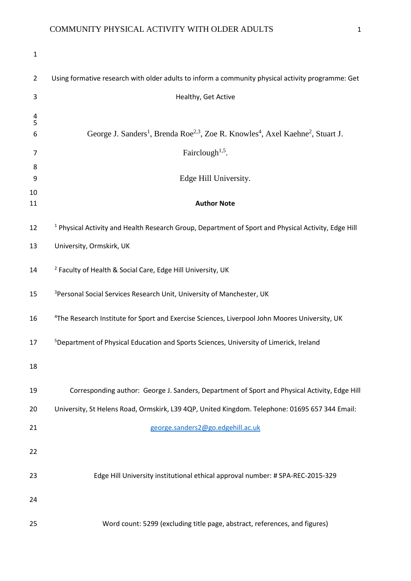| $\mathbf{1}$   |                                                                                                                                 |
|----------------|---------------------------------------------------------------------------------------------------------------------------------|
| $\overline{2}$ | Using formative research with older adults to inform a community physical activity programme: Get                               |
| 3              | Healthy, Get Active                                                                                                             |
| $\frac{4}{5}$  |                                                                                                                                 |
| 6              | George J. Sanders <sup>1</sup> , Brenda Roe <sup>2,3</sup> , Zoe R. Knowles <sup>4</sup> , Axel Kaehne <sup>2</sup> , Stuart J. |
| 7              | Fairclough <sup><math>1,5</math></sup> .                                                                                        |
| 8<br>9         | Edge Hill University.                                                                                                           |
| 10<br>11       | <b>Author Note</b>                                                                                                              |
| 12             | <sup>1</sup> Physical Activity and Health Research Group, Department of Sport and Physical Activity, Edge Hill                  |
| 13             | University, Ormskirk, UK                                                                                                        |
| 14             | <sup>2</sup> Faculty of Health & Social Care, Edge Hill University, UK                                                          |
| 15             | <sup>3</sup> Personal Social Services Research Unit, University of Manchester, UK                                               |
| 16             | <sup>4</sup> The Research Institute for Sport and Exercise Sciences, Liverpool John Moores University, UK                       |
| 17             | <sup>5</sup> Department of Physical Education and Sports Sciences, University of Limerick, Ireland                              |
| 18             |                                                                                                                                 |
| 19             | Corresponding author: George J. Sanders, Department of Sport and Physical Activity, Edge Hill                                   |
| 20             | University, St Helens Road, Ormskirk, L39 4QP, United Kingdom. Telephone: 01695 657 344 Email:                                  |
| 21             | george.sanders2@go.edgehill.ac.uk                                                                                               |
| 22             |                                                                                                                                 |
| 23             | Edge Hill University institutional ethical approval number: # SPA-REC-2015-329                                                  |
| 24             |                                                                                                                                 |
| 25             | Word count: 5299 (excluding title page, abstract, references, and figures)                                                      |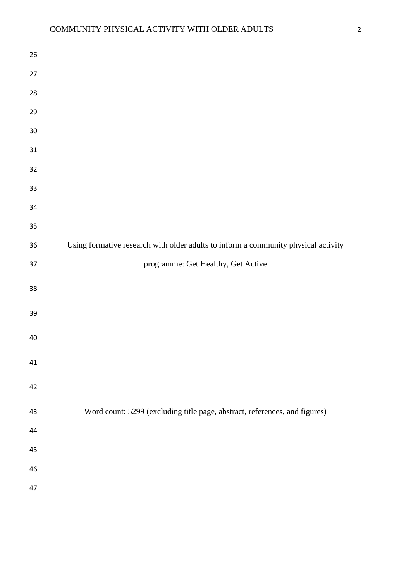| 26       |                                                                                    |
|----------|------------------------------------------------------------------------------------|
| 27       |                                                                                    |
| 28       |                                                                                    |
| 29       |                                                                                    |
| 30       |                                                                                    |
| 31       |                                                                                    |
| 32       |                                                                                    |
| 33       |                                                                                    |
| 34       |                                                                                    |
| 35       |                                                                                    |
| 36       | Using formative research with older adults to inform a community physical activity |
| 37       | programme: Get Healthy, Get Active                                                 |
| 38       |                                                                                    |
| 39       |                                                                                    |
|          |                                                                                    |
| 40       |                                                                                    |
| 41       |                                                                                    |
| 42       |                                                                                    |
| 43       | Word count: 5299 (excluding title page, abstract, references, and figures)         |
| 44       |                                                                                    |
|          |                                                                                    |
| 45       |                                                                                    |
| 46<br>47 |                                                                                    |
|          |                                                                                    |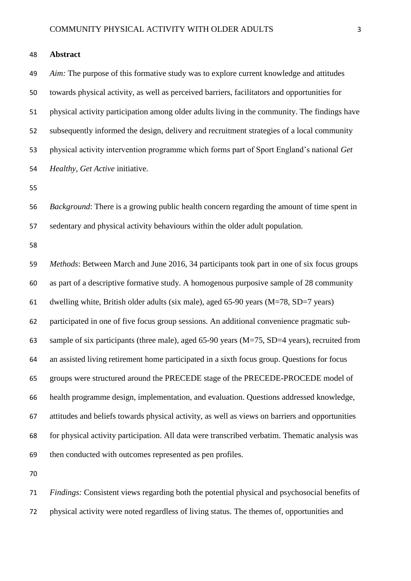*Aim:* The purpose of this formative study was to explore current knowledge and attitudes towards physical activity, as well as perceived barriers, facilitators and opportunities for physical activity participation among older adults living in the community. The findings have subsequently informed the design, delivery and recruitment strategies of a local community physical activity intervention programme which forms part of Sport England's national *Get Healthy, Get Active* initiative.

**Abstract**

 *Background*: There is a growing public health concern regarding the amount of time spent in sedentary and physical activity behaviours within the older adult population.

 *Methods*: Between March and June 2016, 34 participants took part in one of six focus groups as part of a descriptive formative study. A homogenous purposive sample of 28 community dwelling white, British older adults (six male), aged 65-90 years (M=78, SD=7 years) participated in one of five focus group sessions. An additional convenience pragmatic sub- sample of six participants (three male), aged 65-90 years (M=75, SD=4 years), recruited from an assisted living retirement home participated in a sixth focus group. Questions for focus groups were structured around the PRECEDE stage of the PRECEDE-PROCEDE model of health programme design, implementation, and evaluation. Questions addressed knowledge, attitudes and beliefs towards physical activity, as well as views on barriers and opportunities for physical activity participation. All data were transcribed verbatim. Thematic analysis was then conducted with outcomes represented as pen profiles.

 *Findings:* Consistent views regarding both the potential physical and psychosocial benefits of physical activity were noted regardless of living status. The themes of, opportunities and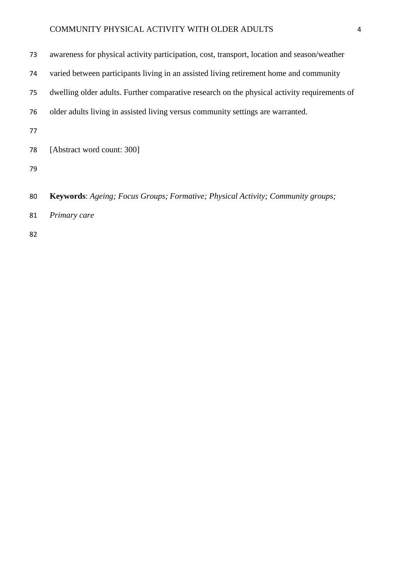| 73 | awareness for physical activity participation, cost, transport, location and season/weather  |
|----|----------------------------------------------------------------------------------------------|
| 74 | varied between participants living in an assisted living retirement home and community       |
| 75 | dwelling older adults. Further comparative research on the physical activity requirements of |
| 76 | older adults living in assisted living versus community settings are warranted.              |
| 77 |                                                                                              |
| 78 | [Abstract word count: 300]                                                                   |
| 79 |                                                                                              |
|    |                                                                                              |
| 80 | Keywords: Ageing; Focus Groups; Formative; Physical Activity; Community groups;              |
| 81 | Primary care                                                                                 |
| 82 |                                                                                              |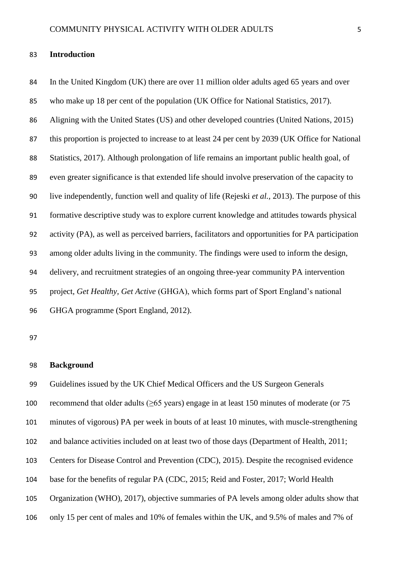#### **Introduction**

 In the United Kingdom (UK) there are over 11 million older adults aged 65 years and over who make up 18 per cent of the population (UK Office for National Statistics, 2017). Aligning with the United States (US) and other developed countries (United Nations, 2015) this proportion is projected to increase to at least 24 per cent by 2039 (UK Office for National Statistics, 2017). Although prolongation of life remains an important public health goal, of even greater significance is that extended life should involve preservation of the capacity to live independently, function well and quality of life (Rejeski *et al.,* 2013). The purpose of this formative descriptive study was to explore current knowledge and attitudes towards physical activity (PA), as well as perceived barriers, facilitators and opportunities for PA participation among older adults living in the community. The findings were used to inform the design, delivery, and recruitment strategies of an ongoing three-year community PA intervention project, *Get Healthy, Get Active* (GHGA), which forms part of Sport England's national GHGA programme (Sport England, 2012).

#### **Background**

 Guidelines issued by the UK Chief Medical Officers and the US Surgeon Generals 100 recommend that older adults ( $\geq$ 65 years) engage in at least 150 minutes of moderate (or 75 minutes of vigorous) PA per week in bouts of at least 10 minutes, with muscle-strengthening and balance activities included on at least two of those days (Department of Health, 2011; Centers for Disease Control and Prevention (CDC), 2015). Despite the recognised evidence base for the benefits of regular PA (CDC, 2015; Reid and Foster, 2017; World Health Organization (WHO), 2017), objective summaries of PA levels among older adults show that only 15 per cent of males and 10% of females within the UK, and 9.5% of males and 7% of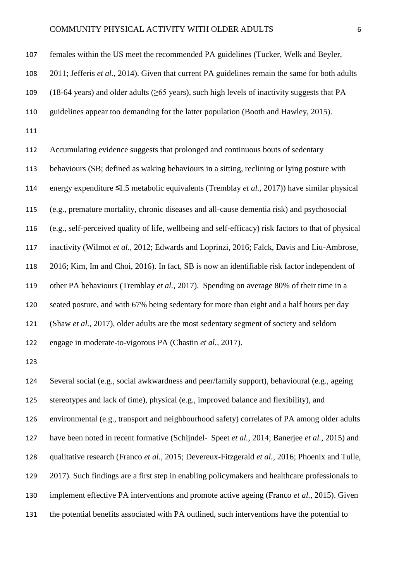females within the US meet the recommended PA guidelines (Tucker, Welk and Beyler,

2011; Jefferis *et al.,* 2014). Given that current PA guidelines remain the same for both adults

109 (18-64 years) and older adults ( $\geq$ 65 years), such high levels of inactivity suggests that PA

guidelines appear too demanding for the latter population (Booth and Hawley, 2015).

 Accumulating evidence suggests that prolonged and continuous bouts of sedentary behaviours (SB; defined as waking behaviours in a sitting, reclining or lying posture with energy expenditure ≤1.5 metabolic equivalents (Tremblay *et al.,* 2017)) have similar physical (e.g., premature mortality, chronic diseases and all-cause dementia risk) and psychosocial (e.g., self-perceived quality of life, wellbeing and self-efficacy) risk factors to that of physical inactivity (Wilmot *et al.,* 2012; Edwards and Loprinzi, 2016; Falck, Davis and Liu-Ambrose, 2016; Kim, Im and Choi, 2016). In fact, SB is now an identifiable risk factor independent of other PA behaviours (Tremblay *et al.,* 2017). Spending on average 80% of their time in a seated posture, and with 67% being sedentary for more than eight and a half hours per day (Shaw *et al.,* 2017), older adults are the most sedentary segment of society and seldom engage in moderate-to-vigorous PA (Chastin *et al.,* 2017).

 Several social (e.g., social awkwardness and peer/family support), behavioural (e.g., ageing stereotypes and lack of time), physical (e.g., improved balance and flexibility), and environmental (e.g., transport and neighbourhood safety) correlates of PA among older adults have been noted in recent formative (Schijndel‐ Speet *et al.,* 2014; Banerjee *et al.,* 2015) and qualitative research (Franco *et al.,* 2015; Devereux-Fitzgerald *et al.,* 2016; Phoenix and Tulle, 2017). Such findings are a first step in enabling policymakers and healthcare professionals to implement effective PA interventions and promote active ageing (Franco *et al.,* 2015). Given the potential benefits associated with PA outlined, such interventions have the potential to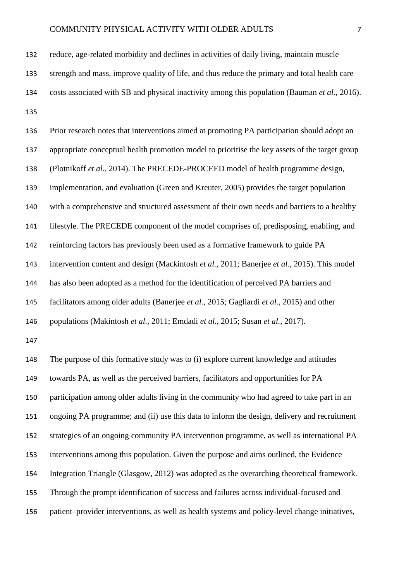Prior research notes that interventions aimed at promoting PA participation should adopt an appropriate conceptual health promotion model to prioritise the key assets of the target group (Plotnikoff *et al.,* 2014). The PRECEDE-PROCEED model of health programme design, implementation, and evaluation (Green and Kreuter, 2005) provides the target population with a comprehensive and structured assessment of their own needs and barriers to a healthy lifestyle. The PRECEDE component of the model comprises of, predisposing, enabling, and reinforcing factors has previously been used as a formative framework to guide PA intervention content and design (Mackintosh *et al.,* 2011; Banerjee *et al.,* 2015). This model has also been adopted as a method for the identification of perceived PA barriers and facilitators among older adults (Banerjee *et al.,* 2015; Gagliardi *et al.,* 2015) and other populations (Makintosh *et al.,* 2011; Emdadi *et al.,* 2015; Susan *et al.,* 2017). The purpose of this formative study was to (i) explore current knowledge and attitudes towards PA, as well as the perceived barriers, facilitators and opportunities for PA participation among older adults living in the community who had agreed to take part in an ongoing PA programme; and (ii) use this data to inform the design, delivery and recruitment strategies of an ongoing community PA intervention programme, as well as international PA interventions among this population. Given the purpose and aims outlined, the Evidence Integration Triangle (Glasgow, 2012) was adopted as the overarching theoretical framework. Through the prompt identification of success and failures across individual-focused and patient–provider interventions, as well as health systems and policy-level change initiatives,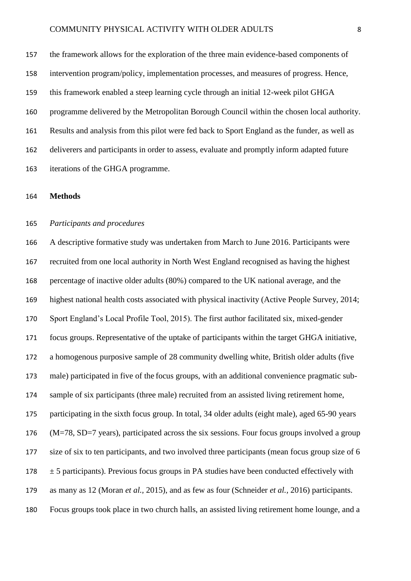the framework allows for the exploration of the three main evidence-based components of intervention program/policy, implementation processes, and measures of progress. Hence, this framework enabled a steep learning cycle through an initial 12-week pilot GHGA programme delivered by the Metropolitan Borough Council within the chosen local authority. Results and analysis from this pilot were fed back to Sport England as the funder, as well as deliverers and participants in order to assess, evaluate and promptly inform adapted future iterations of the GHGA programme.

#### **Methods**

#### *Participants and procedures*

 A descriptive formative study was undertaken from March to June 2016. Participants were recruited from one local authority in North West England recognised as having the highest percentage of inactive older adults (80%) compared to the UK national average, and the highest national health costs associated with physical inactivity (Active People Survey, 2014; Sport England's Local Profile Tool, 2015). The first author facilitated six, mixed-gender focus groups. Representative of the uptake of participants within the target GHGA initiative, a homogenous purposive sample of 28 community dwelling white, British older adults (five male) participated in five of the focus groups, with an additional convenience pragmatic sub- sample of six participants (three male) recruited from an assisted living retirement home, participating in the sixth focus group. In total, 34 older adults (eight male), aged 65-90 years (M=78, SD=7 years), participated across the six sessions. Four focus groups involved a group size of six to ten participants, and two involved three participants (mean focus group size of 6  $178 \pm 5$  participants). Previous focus groups in PA studies have been conducted effectively with as many as 12 (Moran *et al.,* 2015), and as few as four (Schneider *et al.,* 2016) participants. Focus groups took place in two church halls, an assisted living retirement home lounge, and a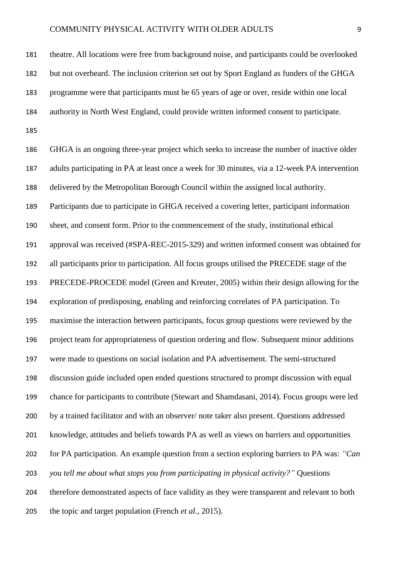theatre. All locations were free from background noise, and participants could be overlooked 182 but not overheard. The inclusion criterion set out by Sport England as funders of the GHGA programme were that participants must be 65 years of age or over, reside within one local authority in North West England, could provide written informed consent to participate. 

 GHGA is an ongoing three-year project which seeks to increase the number of inactive older adults participating in PA at least once a week for 30 minutes, via a 12-week PA intervention delivered by the Metropolitan Borough Council within the assigned local authority. Participants due to participate in GHGA received a covering letter, participant information sheet, and consent form. Prior to the commencement of the study, institutional ethical approval was received (#SPA-REC-2015-329) and written informed consent was obtained for all participants prior to participation. All focus groups utilised the PRECEDE stage of the PRECEDE-PROCEDE model (Green and Kreuter, 2005) within their design allowing for the exploration of predisposing, enabling and reinforcing correlates of PA participation. To maximise the interaction between participants, focus group questions were reviewed by the project team for appropriateness of question ordering and flow. Subsequent minor additions were made to questions on social isolation and PA advertisement. The semi-structured discussion guide included open ended questions structured to prompt discussion with equal chance for participants to contribute (Stewart and Shamdasani, 2014). Focus groups were led by a trained facilitator and with an observer/ note taker also present. Questions addressed knowledge, attitudes and beliefs towards PA as well as views on barriers and opportunities for PA participation. An example question from a section exploring barriers to PA was: *"Can you tell me about what stops you from participating in physical activity?"* Questions therefore demonstrated aspects of face validity as they were transparent and relevant to both the topic and target population (French *et al.,* 2015).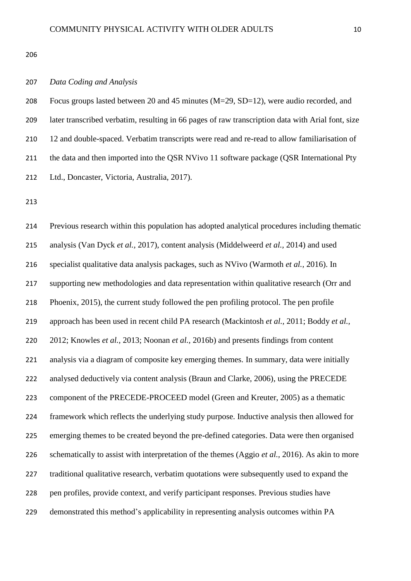#### *Data Coding and Analysis*

 Focus groups lasted between 20 and 45 minutes (M=29, SD=12), were audio recorded, and later transcribed verbatim, resulting in 66 pages of raw transcription data with Arial font, size 12 and double-spaced. Verbatim transcripts were read and re-read to allow familiarisation of 211 the data and then imported into the QSR NVivo 11 software package (QSR International Pty Ltd., Doncaster, Victoria, Australia, 2017).

 Previous research within this population has adopted analytical procedures including thematic analysis (Van Dyck *et al.,* 2017), content analysis (Middelweerd *et al.,* 2014) and used specialist qualitative data analysis packages, such as NVivo (Warmoth *et al.,* 2016). In supporting new methodologies and data representation within qualitative research (Orr and Phoenix, 2015), the current study followed the pen profiling protocol. The pen profile approach has been used in recent child PA research (Mackintosh *et al.,* 2011; Boddy *et al.,* 2012; Knowles *et al.,* 2013; Noonan *et al.,* 2016b) and presents findings from content analysis via a diagram of composite key emerging themes. In summary, data were initially analysed deductively via content analysis (Braun and Clarke, 2006), using the PRECEDE component of the PRECEDE-PROCEED model (Green and Kreuter, 2005) as a thematic framework which reflects the underlying study purpose. Inductive analysis then allowed for emerging themes to be created beyond the pre-defined categories. Data were then organised schematically to assist with interpretation of the themes (Aggio *et al.,* 2016). As akin to more traditional qualitative research, verbatim quotations were subsequently used to expand the pen profiles, provide context, and verify participant responses. Previous studies have demonstrated this method's applicability in representing analysis outcomes within PA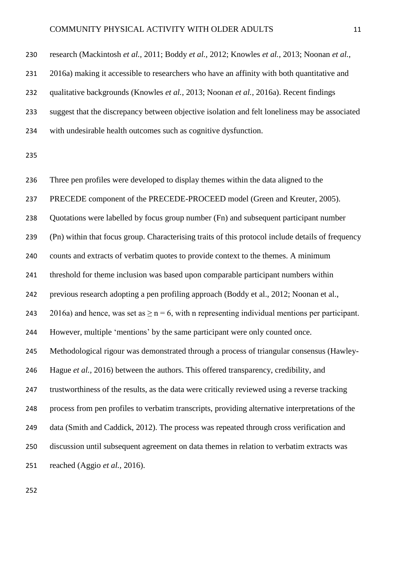| 230 | research (Mackintosh et al., 2011; Boddy et al., 2012; Knowles et al., 2013; Noonan et al.,           |
|-----|-------------------------------------------------------------------------------------------------------|
| 231 | 2016a) making it accessible to researchers who have an affinity with both quantitative and            |
| 232 | qualitative backgrounds (Knowles <i>et al.</i> , 2013; Noonan <i>et al.</i> , 2016a). Recent findings |
| 233 | suggest that the discrepancy between objective isolation and felt loneliness may be associated        |
| 234 | with undesirable health outcomes such as cognitive dysfunction.                                       |
| 235 |                                                                                                       |
| 236 | Three pen profiles were developed to display themes within the data aligned to the                    |
| 237 | PRECEDE component of the PRECEDE-PROCEED model (Green and Kreuter, 2005).                             |
| 238 | Quotations were labelled by focus group number (Fn) and subsequent participant number                 |

(Pn) within that focus group. Characterising traits of this protocol include details of frequency

counts and extracts of verbatim quotes to provide context to the themes. A minimum

threshold for theme inclusion was based upon comparable participant numbers within

previous research adopting a pen profiling approach (Boddy et al., 2012; Noonan et al.,

243 2016a) and hence, was set as  $\geq n = 6$ , with n representing individual mentions per participant.

However, multiple 'mentions' by the same participant were only counted once.

Methodological rigour was demonstrated through a process of triangular consensus (Hawley-

Hague *et al.,* 2016) between the authors. This offered transparency, credibility, and

trustworthiness of the results, as the data were critically reviewed using a reverse tracking

process from pen profiles to verbatim transcripts, providing alternative interpretations of the

data (Smith and Caddick, 2012). The process was repeated through cross verification and

discussion until subsequent agreement on data themes in relation to verbatim extracts was

reached (Aggio *et al.,* 2016).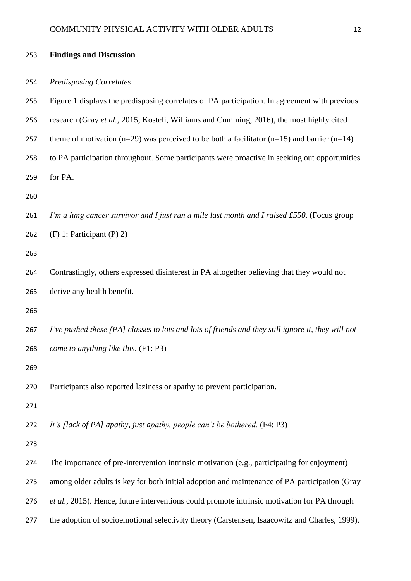| 253 | <b>Findings and Discussion</b>                                                                          |
|-----|---------------------------------------------------------------------------------------------------------|
| 254 | <b>Predisposing Correlates</b>                                                                          |
| 255 | Figure 1 displays the predisposing correlates of PA participation. In agreement with previous           |
| 256 | research (Gray et al., 2015; Kosteli, Williams and Cumming, 2016), the most highly cited                |
| 257 | theme of motivation ( $n=29$ ) was perceived to be both a facilitator ( $n=15$ ) and barrier ( $n=14$ ) |
| 258 | to PA participation throughout. Some participants were proactive in seeking out opportunities           |
| 259 | for PA.                                                                                                 |
| 260 |                                                                                                         |
| 261 | I'm a lung cancer survivor and I just ran a mile last month and I raised £550. (Focus group             |
| 262 | $(F)$ 1: Participant $(P)$ 2)                                                                           |
| 263 |                                                                                                         |
| 264 | Contrastingly, others expressed disinterest in PA altogether believing that they would not              |
| 265 | derive any health benefit.                                                                              |
| 266 |                                                                                                         |
| 267 | I've pushed these [PA] classes to lots and lots of friends and they still ignore it, they will not      |
| 268 | come to anything like this. (F1: P3)                                                                    |
| 269 |                                                                                                         |
| 270 | Participants also reported laziness or apathy to prevent participation.                                 |
| 271 |                                                                                                         |
| 272 | It's flack of PAJ apathy, just apathy, people can't be bothered. (F4: P3)                               |
| 273 |                                                                                                         |
| 274 | The importance of pre-intervention intrinsic motivation (e.g., participating for enjoyment)             |
| 275 | among older adults is key for both initial adoption and maintenance of PA participation (Gray           |
| 276 | et al., 2015). Hence, future interventions could promote intrinsic motivation for PA through            |
| 277 | the adoption of socioemotional selectivity theory (Carstensen, Isaacowitz and Charles, 1999).           |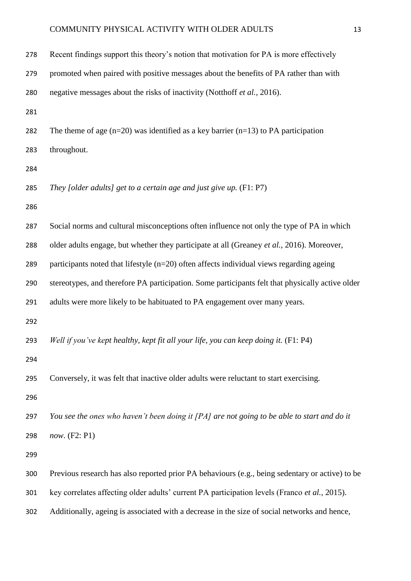| 278 | Recent findings support this theory's notion that motivation for PA is more effectively          |
|-----|--------------------------------------------------------------------------------------------------|
| 279 | promoted when paired with positive messages about the benefits of PA rather than with            |
| 280 | negative messages about the risks of inactivity (Notthoff et al., 2016).                         |
| 281 |                                                                                                  |
| 282 | The theme of age $(n=20)$ was identified as a key barrier $(n=13)$ to PA participation           |
| 283 | throughout.                                                                                      |
| 284 |                                                                                                  |
| 285 | They [older adults] get to a certain age and just give up. $(F1: P7)$                            |
| 286 |                                                                                                  |
| 287 | Social norms and cultural misconceptions often influence not only the type of PA in which        |
| 288 | older adults engage, but whether they participate at all (Greaney et al., 2016). Moreover,       |
| 289 | participants noted that lifestyle (n=20) often affects individual views regarding ageing         |
| 290 | stereotypes, and therefore PA participation. Some participants felt that physically active older |
| 291 | adults were more likely to be habituated to PA engagement over many years.                       |
| 292 |                                                                                                  |
| 293 | Well if you've kept healthy, kept fit all your life, you can keep doing it. (F1: P4)             |
| 294 |                                                                                                  |
| 295 | Conversely, it was felt that inactive older adults were reluctant to start exercising.           |
| 296 |                                                                                                  |
| 297 | You see the ones who haven't been doing it [PA] are not going to be able to start and do it      |
| 298 | now. (F2: P1)                                                                                    |
| 299 |                                                                                                  |
| 300 | Previous research has also reported prior PA behaviours (e.g., being sedentary or active) to be  |
| 301 | key correlates affecting older adults' current PA participation levels (Franco et al., 2015).    |
| 302 | Additionally, ageing is associated with a decrease in the size of social networks and hence,     |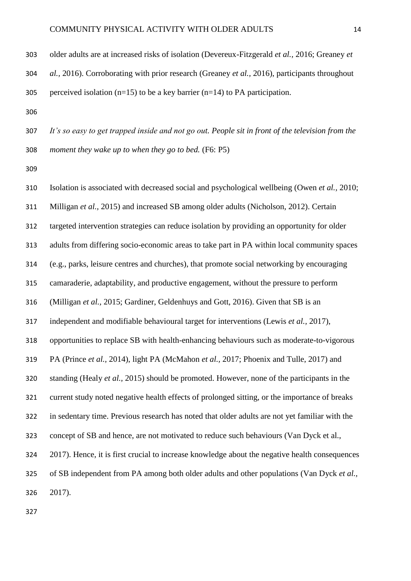| 303 | older adults are at increased risks of isolation (Devereux-Fitzgerald <i>et al.</i> , 2016; Greaney <i>et</i> |
|-----|---------------------------------------------------------------------------------------------------------------|
| 304 | al., 2016). Corroborating with prior research (Greaney et al., 2016), participants throughout                 |
| 305 | perceived isolation $(n=15)$ to be a key barrier $(n=14)$ to PA participation.                                |

 *It's so easy to get trapped inside and not go out. People sit in front of the television from the moment they wake up to when they go to bed.* (F6: P5)

 Isolation is associated with decreased social and psychological wellbeing (Owen *et al.,* 2010; Milligan *et al.,* 2015) and increased SB among older adults (Nicholson, 2012). Certain targeted intervention strategies can reduce isolation by providing an opportunity for older adults from differing socio-economic areas to take part in PA within local community spaces (e.g., parks, leisure centres and churches), that promote social networking by encouraging camaraderie, adaptability, and productive engagement, without the pressure to perform (Milligan *et al.,* 2015; Gardiner, Geldenhuys and Gott, 2016). Given that SB is an independent and modifiable behavioural target for interventions (Lewis *et al.,* 2017), opportunities to replace SB with health-enhancing behaviours such as moderate-to-vigorous PA (Prince *et al.,* 2014), light PA (McMahon *et al.,* 2017; Phoenix and Tulle, 2017) and standing (Healy *et al.,* 2015) should be promoted. However, none of the participants in the current study noted negative health effects of prolonged sitting, or the importance of breaks in sedentary time. Previous research has noted that older adults are not yet familiar with the concept of SB and hence, are not motivated to reduce such behaviours (Van Dyck et al., 2017). Hence, it is first crucial to increase knowledge about the negative health consequences of SB independent from PA among both older adults and other populations (Van Dyck *et al.,* 2017).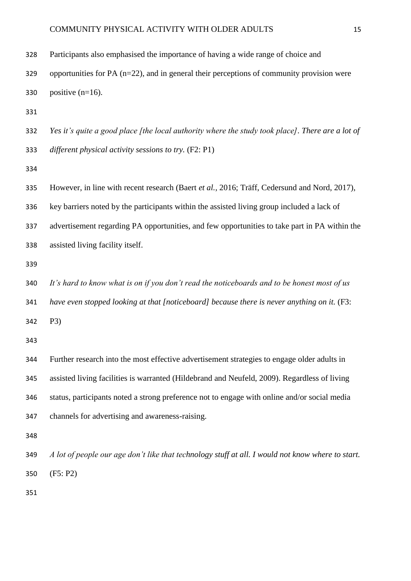| 328 | Participants also emphasised the importance of having a wide range of choice and                  |
|-----|---------------------------------------------------------------------------------------------------|
| 329 | opportunities for PA $(n=22)$ , and in general their perceptions of community provision were      |
| 330 | positive $(n=16)$ .                                                                               |
| 331 |                                                                                                   |
| 332 | Yes it's quite a good place [the local authority where the study took place]. There are a lot of  |
| 333 | different physical activity sessions to try. (F2: P1)                                             |
| 334 |                                                                                                   |
| 335 | However, in line with recent research (Baert et al., 2016; Träff, Cedersund and Nord, 2017),      |
| 336 | key barriers noted by the participants within the assisted living group included a lack of        |
| 337 | advertisement regarding PA opportunities, and few opportunities to take part in PA within the     |
| 338 | assisted living facility itself.                                                                  |
| 339 |                                                                                                   |
| 340 | It's hard to know what is on if you don't read the noticeboards and to be honest most of us       |
| 341 | have even stopped looking at that [noticeboard] because there is never anything on it. (F3:       |
| 342 | P3)                                                                                               |
| 343 |                                                                                                   |
| 344 | Further research into the most effective advertisement strategies to engage older adults in       |
| 345 | assisted living facilities is warranted (Hildebrand and Neufeld, 2009). Regardless of living      |
| 346 | status, participants noted a strong preference not to engage with online and/or social media      |
| 347 | channels for advertising and awareness-raising.                                                   |
| 348 |                                                                                                   |
| 349 | A lot of people our age don't like that technology stuff at all. I would not know where to start. |
| 350 | (F5: P2)                                                                                          |
|     |                                                                                                   |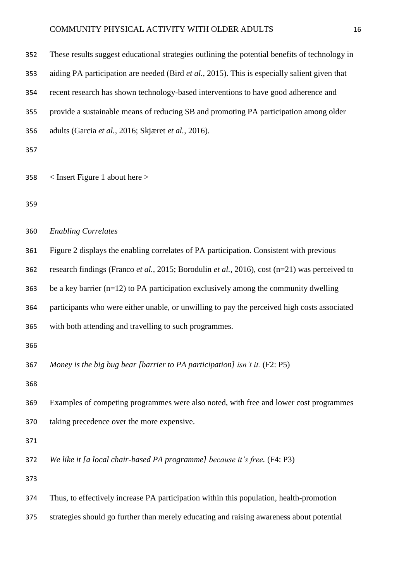| 352 | These results suggest educational strategies outlining the potential benefits of technology in |
|-----|------------------------------------------------------------------------------------------------|
| 353 | aiding PA participation are needed (Bird et al., 2015). This is especially salient given that  |
| 354 | recent research has shown technology-based interventions to have good adherence and            |
| 355 | provide a sustainable means of reducing SB and promoting PA participation among older          |
| 356 | adults (Garcia et al., 2016; Skjæret et al., 2016).                                            |
| 357 |                                                                                                |
| 358 | $\langle$ Insert Figure 1 about here $\rangle$                                                 |
| 359 |                                                                                                |
| 360 | <b>Enabling Correlates</b>                                                                     |
| 361 | Figure 2 displays the enabling correlates of PA participation. Consistent with previous        |
| 362 | research findings (Franco et al., 2015; Borodulin et al., 2016), cost (n=21) was perceived to  |
| 363 | be a key barrier $(n=12)$ to PA participation exclusively among the community dwelling         |
| 364 | participants who were either unable, or unwilling to pay the perceived high costs associated   |
| 365 | with both attending and travelling to such programmes.                                         |
| 366 |                                                                                                |
| 367 | Money is the big bug bear [barrier to PA participation] isn't it. (F2: P5)                     |
| 368 |                                                                                                |
| 369 | Examples of competing programmes were also noted, with free and lower cost programmes          |
| 370 | taking precedence over the more expensive.                                                     |
| 371 |                                                                                                |
| 372 | We like it [a local chair-based PA programme] because it's free. (F4: P3)                      |
| 373 |                                                                                                |
| 374 | Thus, to effectively increase PA participation within this population, health-promotion        |
| 375 | strategies should go further than merely educating and raising awareness about potential       |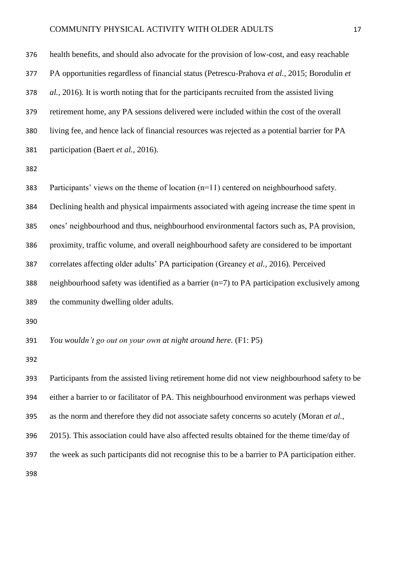health benefits, and should also advocate for the provision of low-cost, and easy reachable PA opportunities regardless of financial status (Petrescu-Prahova *et al.,* 2015; Borodulin *et al.,* 2016). It is worth noting that for the participants recruited from the assisted living retirement home, any PA sessions delivered were included within the cost of the overall living fee, and hence lack of financial resources was rejected as a potential barrier for PA participation (Baert *et al.,* 2016).

 Participants' views on the theme of location (n=11) centered on neighbourhood safety. Declining health and physical impairments associated with ageing increase the time spent in ones' neighbourhood and thus, neighbourhood environmental factors such as, PA provision, proximity, traffic volume, and overall neighbourhood safety are considered to be important correlates affecting older adults' PA participation (Greaney *et al.,* 2016). Perceived 388 neighbourhood safety was identified as a barrier  $(n=7)$  to PA participation exclusively among the community dwelling older adults. *You wouldn't go out on your own at night around here.* (F1: P5) Participants from the assisted living retirement home did not view neighbourhood safety to be

 either a barrier to or facilitator of PA. This neighbourhood environment was perhaps viewed as the norm and therefore they did not associate safety concerns so acutely (Moran *et al.,* 2015). This association could have also affected results obtained for the theme time/day of the week as such participants did not recognise this to be a barrier to PA participation either.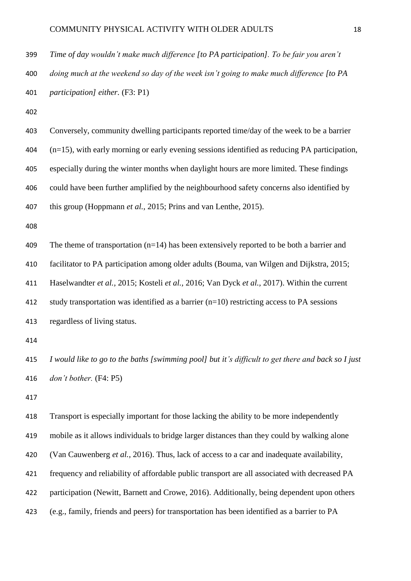*Time of day wouldn't make much difference [to PA participation]. To be fair you aren't* 

 *doing much at the weekend so day of the week isn't going to make much difference [to PA participation] either.* (F3: P1)

 Conversely, community dwelling participants reported time/day of the week to be a barrier (n=15), with early morning or early evening sessions identified as reducing PA participation, especially during the winter months when daylight hours are more limited. These findings could have been further amplified by the neighbourhood safety concerns also identified by this group (Hoppmann *et al.,* 2015; Prins and van Lenthe, 2015). 409 The theme of transportation (n=14) has been extensively reported to be both a barrier and facilitator to PA participation among older adults (Bouma, van Wilgen and Dijkstra, 2015; Haselwandter *et al.,* 2015; Kosteli *et al.,* 2016; Van Dyck *et al.,* 2017). Within the current

412 study transportation was identified as a barrier  $(n=10)$  restricting access to PA sessions regardless of living status.

 *I would like to go to the baths [swimming pool] but it's difficult to get there and back so I just don't bother.* (F4: P5)

 Transport is especially important for those lacking the ability to be more independently mobile as it allows individuals to bridge larger distances than they could by walking alone (Van Cauwenberg *et al.,* 2016). Thus, lack of access to a car and inadequate availability, frequency and reliability of affordable public transport are all associated with decreased PA participation (Newitt, Barnett and Crowe, 2016). Additionally, being dependent upon others (e.g., family, friends and peers) for transportation has been identified as a barrier to PA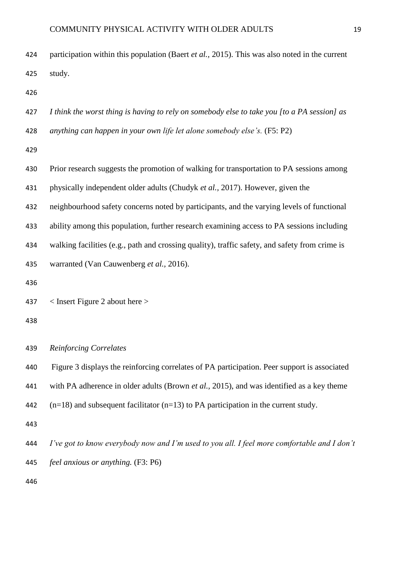| 424 | participation within this population (Baert et al., 2015). This was also noted in the current  |
|-----|------------------------------------------------------------------------------------------------|
| 425 | study.                                                                                         |
| 426 |                                                                                                |
| 427 | I think the worst thing is having to rely on somebody else to take you [to a PA session] as    |
| 428 | anything can happen in your own life let alone somebody else's. (F5: P2)                       |
| 429 |                                                                                                |
| 430 | Prior research suggests the promotion of walking for transportation to PA sessions among       |
| 431 | physically independent older adults (Chudyk et al., 2017). However, given the                  |
| 432 | neighbourhood safety concerns noted by participants, and the varying levels of functional      |
| 433 | ability among this population, further research examining access to PA sessions including      |
| 434 | walking facilities (e.g., path and crossing quality), traffic safety, and safety from crime is |
| 435 | warranted (Van Cauwenberg et al., 2016).                                                       |
| 436 |                                                                                                |
| 437 | $\langle$ Insert Figure 2 about here $\rangle$                                                 |
| 438 |                                                                                                |
| 439 | <b>Reinforcing Correlates</b>                                                                  |
| 440 | Figure 3 displays the reinforcing correlates of PA participation. Peer support is associated   |
| 441 | with PA adherence in older adults (Brown et al., 2015), and was identified as a key theme      |
| 442 | $(n=18)$ and subsequent facilitator $(n=13)$ to PA participation in the current study.         |
| 443 |                                                                                                |
| 444 | I've got to know everybody now and I'm used to you all. I feel more comfortable and I don't    |
| 445 | feel anxious or anything. (F3: P6)                                                             |
| 446 |                                                                                                |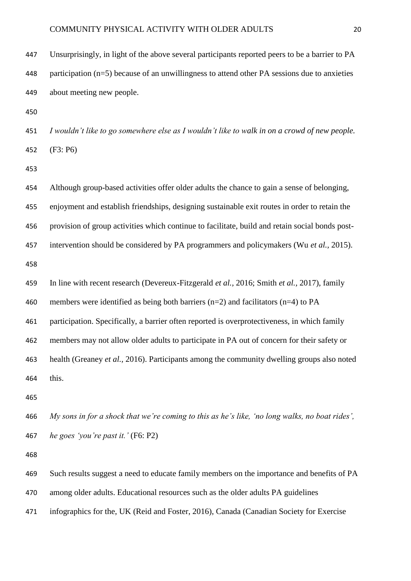| 447 | Unsurprisingly, in light of the above several participants reported peers to be a barrier to PA |
|-----|-------------------------------------------------------------------------------------------------|
| 448 | participation $(n=5)$ because of an unwillingness to attend other PA sessions due to anxieties  |
| 449 | about meeting new people.                                                                       |
| 450 |                                                                                                 |
| 451 | I wouldn't like to go somewhere else as I wouldn't like to walk in on a crowd of new people.    |
| 452 | (F3: P6)                                                                                        |
| 453 |                                                                                                 |
| 454 | Although group-based activities offer older adults the chance to gain a sense of belonging,     |
| 455 | enjoyment and establish friendships, designing sustainable exit routes in order to retain the   |
| 456 | provision of group activities which continue to facilitate, build and retain social bonds post- |
| 457 | intervention should be considered by PA programmers and policymakers (Wu et al., 2015).         |
| 458 |                                                                                                 |
| 459 | In line with recent research (Devereux-Fitzgerald et al., 2016; Smith et al., 2017), family     |
| 460 | members were identified as being both barriers $(n=2)$ and facilitators $(n=4)$ to PA           |
| 461 | participation. Specifically, a barrier often reported is overprotectiveness, in which family    |
| 462 | members may not allow older adults to participate in PA out of concern for their safety or      |
| 463 | health (Greaney et al., 2016). Participants among the community dwelling groups also noted      |
| 464 | this.                                                                                           |
| 465 |                                                                                                 |
| 466 | My sons in for a shock that we're coming to this as he's like, 'no long walks, no boat rides',  |
| 467 | he goes 'you're past it.' (F6: P2)                                                              |
| 468 |                                                                                                 |
| 469 | Such results suggest a need to educate family members on the importance and benefits of PA      |
| 470 | among older adults. Educational resources such as the older adults PA guidelines                |
| 471 | infographics for the, UK (Reid and Foster, 2016), Canada (Canadian Society for Exercise         |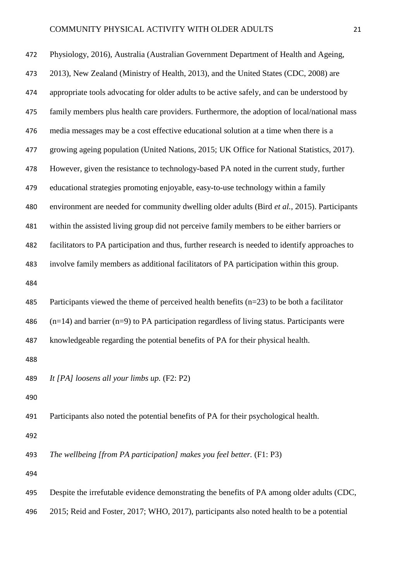| 472 | Physiology, 2016), Australia (Australian Government Department of Health and Ageing,            |
|-----|-------------------------------------------------------------------------------------------------|
| 473 | 2013), New Zealand (Ministry of Health, 2013), and the United States (CDC, 2008) are            |
| 474 | appropriate tools advocating for older adults to be active safely, and can be understood by     |
| 475 | family members plus health care providers. Furthermore, the adoption of local/national mass     |
| 476 | media messages may be a cost effective educational solution at a time when there is a           |
| 477 | growing ageing population (United Nations, 2015; UK Office for National Statistics, 2017).      |
| 478 | However, given the resistance to technology-based PA noted in the current study, further        |
| 479 | educational strategies promoting enjoyable, easy-to-use technology within a family              |
| 480 | environment are needed for community dwelling older adults (Bird et al., 2015). Participants    |
| 481 | within the assisted living group did not perceive family members to be either barriers or       |
| 482 | facilitators to PA participation and thus, further research is needed to identify approaches to |
| 483 | involve family members as additional facilitators of PA participation within this group.        |
| 484 |                                                                                                 |
| 485 | Participants viewed the theme of perceived health benefits $(n=23)$ to be both a facilitator    |
| 486 | $(n=14)$ and barrier (n=9) to PA participation regardless of living status. Participants were   |
| 487 | knowledgeable regarding the potential benefits of PA for their physical health.                 |
| 488 |                                                                                                 |
| 489 | It [PA] loosens all your limbs up. (F2: P2)                                                     |
| 490 |                                                                                                 |
| 491 | Participants also noted the potential benefits of PA for their psychological health.            |
| 492 |                                                                                                 |
| 493 | The wellbeing [from PA participation] makes you feel better. (F1: P3)                           |
| 494 |                                                                                                 |
| 495 | Despite the irrefutable evidence demonstrating the benefits of PA among older adults (CDC,      |
| 496 | 2015; Reid and Foster, 2017; WHO, 2017), participants also noted health to be a potential       |
|     |                                                                                                 |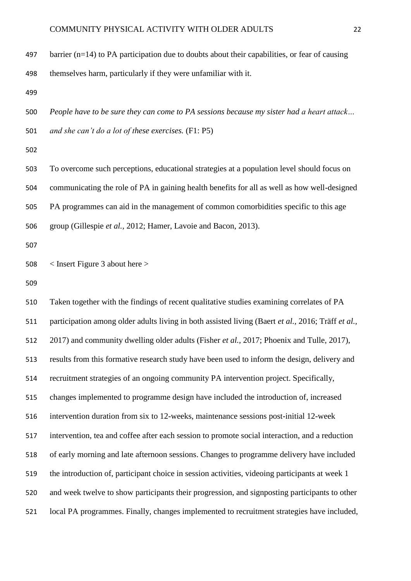497 barrier ( $n=14$ ) to PA participation due to doubts about their capabilities, or fear of causing

themselves harm, particularly if they were unfamiliar with it.

 *People have to be sure they can come to PA sessions because my sister had a heart attack… and she can't do a lot of these exercises.* (F1: P5)

 To overcome such perceptions, educational strategies at a population level should focus on communicating the role of PA in gaining health benefits for all as well as how well-designed PA programmes can aid in the management of common comorbidities specific to this age group (Gillespie *et al.,* 2012; Hamer, Lavoie and Bacon, 2013).

< Insert Figure 3 about here >

 Taken together with the findings of recent qualitative studies examining correlates of PA participation among older adults living in both assisted living (Baert *et al.,* 2016; Träff *et al.,* 2017) and community dwelling older adults (Fisher *et al.,* 2017; Phoenix and Tulle, 2017), results from this formative research study have been used to inform the design, delivery and recruitment strategies of an ongoing community PA intervention project. Specifically, changes implemented to programme design have included the introduction of, increased intervention duration from six to 12-weeks, maintenance sessions post-initial 12-week intervention, tea and coffee after each session to promote social interaction, and a reduction of early morning and late afternoon sessions. Changes to programme delivery have included the introduction of, participant choice in session activities, videoing participants at week 1 and week twelve to show participants their progression, and signposting participants to other local PA programmes. Finally, changes implemented to recruitment strategies have included,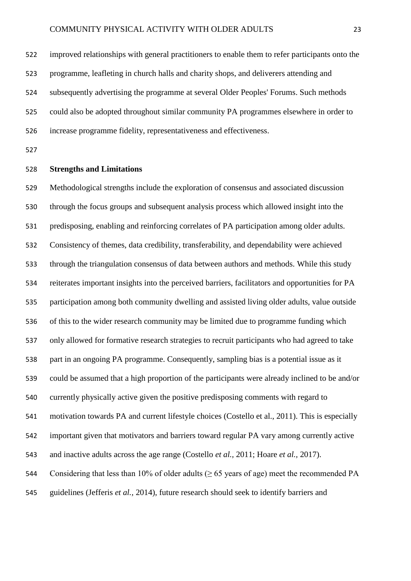improved relationships with general practitioners to enable them to refer participants onto the programme, leafleting in church halls and charity shops, and deliverers attending and subsequently advertising the programme at several Older Peoples' Forums. Such methods could also be adopted throughout similar community PA programmes elsewhere in order to increase programme fidelity, representativeness and effectiveness.

#### **Strengths and Limitations**

 Methodological strengths include the exploration of consensus and associated discussion through the focus groups and subsequent analysis process which allowed insight into the predisposing, enabling and reinforcing correlates of PA participation among older adults. Consistency of themes, data credibility, transferability, and dependability were achieved through the triangulation consensus of data between authors and methods. While this study reiterates important insights into the perceived barriers, facilitators and opportunities for PA participation among both community dwelling and assisted living older adults, value outside of this to the wider research community may be limited due to programme funding which only allowed for formative research strategies to recruit participants who had agreed to take part in an ongoing PA programme. Consequently, sampling bias is a potential issue as it could be assumed that a high proportion of the participants were already inclined to be and/or currently physically active given the positive predisposing comments with regard to motivation towards PA and current lifestyle choices (Costello et al., 2011). This is especially important given that motivators and barriers toward regular PA vary among currently active and inactive adults across the age range (Costello *et al.,* 2011; Hoare *et al.,* 2017). 544 Considering that less than 10% of older adults ( $\geq$  65 years of age) meet the recommended PA guidelines (Jefferis *et al.,* 2014), future research should seek to identify barriers and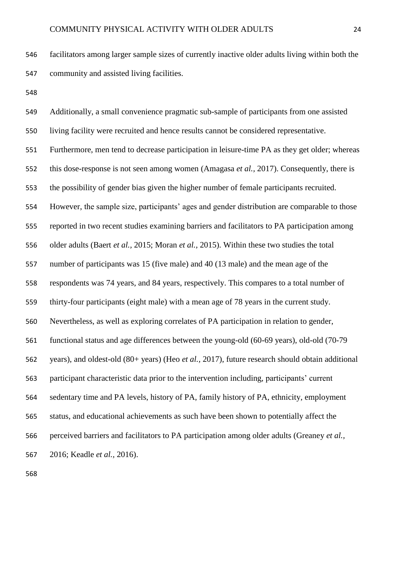facilitators among larger sample sizes of currently inactive older adults living within both the community and assisted living facilities.

 Additionally, a small convenience pragmatic sub-sample of participants from one assisted living facility were recruited and hence results cannot be considered representative. Furthermore, men tend to decrease participation in leisure-time PA as they get older; whereas this dose-response is not seen among women (Amagasa *et al.,* 2017). Consequently, there is the possibility of gender bias given the higher number of female participants recruited. However, the sample size, participants' ages and gender distribution are comparable to those reported in two recent studies examining barriers and facilitators to PA participation among older adults (Baert *et al.,* 2015; Moran *et al.,* 2015). Within these two studies the total number of participants was 15 (five male) and 40 (13 male) and the mean age of the respondents was 74 years, and 84 years, respectively. This compares to a total number of thirty-four participants (eight male) with a mean age of 78 years in the current study. Nevertheless, as well as exploring correlates of PA participation in relation to gender, functional status and age differences between the young-old (60-69 years), old-old (70-79 years), and oldest-old (80+ years) (Heo *et al.,* 2017), future research should obtain additional participant characteristic data prior to the intervention including, participants' current sedentary time and PA levels, history of PA, family history of PA, ethnicity, employment status, and educational achievements as such have been shown to potentially affect the perceived barriers and facilitators to PA participation among older adults (Greaney *et al.,* 2016; Keadle *et al.,* 2016).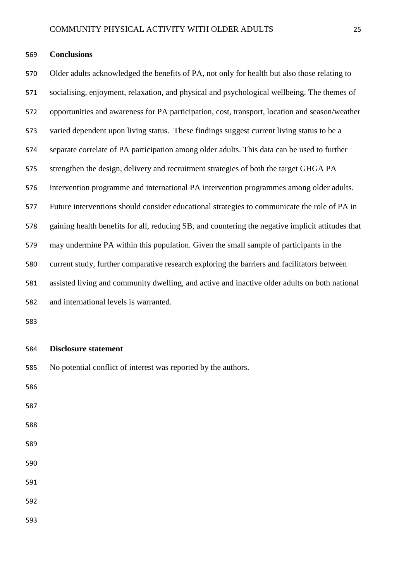#### **Conclusions**

 Older adults acknowledged the benefits of PA, not only for health but also those relating to socialising, enjoyment, relaxation, and physical and psychological wellbeing. The themes of opportunities and awareness for PA participation, cost, transport, location and season/weather varied dependent upon living status. These findings suggest current living status to be a separate correlate of PA participation among older adults. This data can be used to further strengthen the design, delivery and recruitment strategies of both the target GHGA PA intervention programme and international PA intervention programmes among older adults. Future interventions should consider educational strategies to communicate the role of PA in gaining health benefits for all, reducing SB, and countering the negative implicit attitudes that may undermine PA within this population. Given the small sample of participants in the current study, further comparative research exploring the barriers and facilitators between assisted living and community dwelling, and active and inactive older adults on both national and international levels is warranted.

#### **Disclosure statement**

No potential conflict of interest was reported by the authors.

- 
-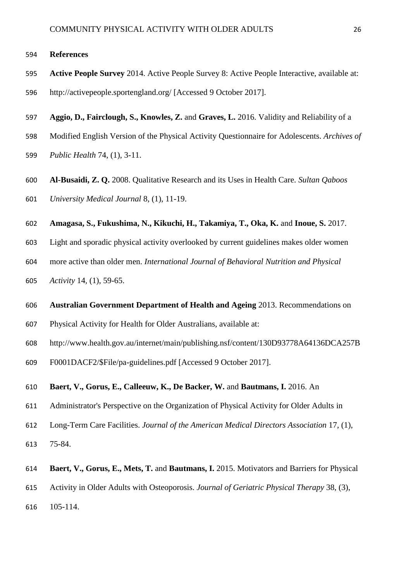#### **References**

- **Active People Survey** 2014. Active People Survey 8: Active People Interactive, available at: http://activepeople.sportengland.org/ [Accessed 9 October 2017].
- **Aggio, D., Fairclough, S., Knowles, Z.** and **Graves, L.** 2016. Validity and Reliability of a
- Modified English Version of the Physical Activity Questionnaire for Adolescents. *Archives of*
- *Public Health* 74, (1), 3-11.
- **Al-Busaidi, Z. Q.** 2008. Qualitative Research and its Uses in Health Care. *Sultan Qaboos University Medical Journal* 8, (1), 11-19.
- **Amagasa, S., Fukushima, N., Kikuchi, H., Takamiya, T., Oka, K.** and **Inoue, S.** 2017.
- Light and sporadic physical activity overlooked by current guidelines makes older women
- more active than older men. *International Journal of Behavioral Nutrition and Physical*
- *Activity* 14*,* (1), 59-65.
- **Australian Government Department of Health and Ageing** 2013. Recommendations on
- Physical Activity for Health for Older Australians, available at:
- http://www.health.gov.au/internet/main/publishing.nsf/content/130D93778A64136DCA257B
- F0001DACF2/\$File/pa-guidelines.pdf [Accessed 9 October 2017].

#### **Baert, V., Gorus, E., Calleeuw, K., De Backer, W.** and **Bautmans, I.** 2016. An

- Administrator's Perspective on the Organization of Physical Activity for Older Adults in
- Long-Term Care Facilities. *Journal of the American Medical Directors Association* 17, (1),
- 75-84.
- **Baert, V., Gorus, E., Mets, T.** and **Bautmans, I.** 2015. Motivators and Barriers for Physical
- Activity in Older Adults with Osteoporosis. *Journal of Geriatric Physical Therapy* 38, (3),
- 105-114.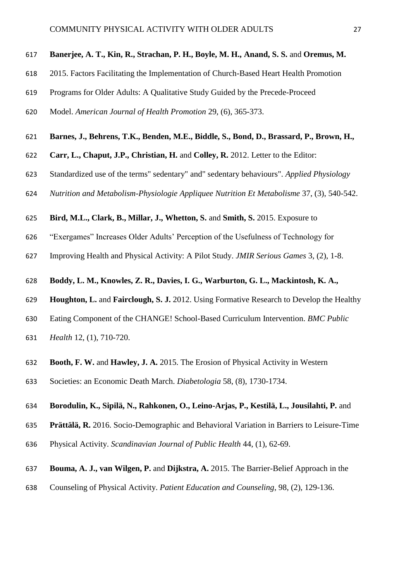#### **Banerjee, A. T., Kin, R., Strachan, P. H., Boyle, M. H., Anand, S. S.** and **Oremus, M.**

- 2015. Factors Facilitating the Implementation of Church-Based Heart Health Promotion
- Programs for Older Adults: A Qualitative Study Guided by the Precede-Proceed
- Model. *American Journal of Health Promotion* 29, (6), 365-373.
- **Barnes, J., Behrens, T.K., Benden, M.E., Biddle, S., Bond, D., Brassard, P., Brown, H.,**
- **Carr, L., Chaput, J.P., Christian, H.** and **Colley, R.** 2012. Letter to the Editor:
- Standardized use of the terms" sedentary" and" sedentary behaviours". *Applied Physiology*
- *Nutrition and Metabolism-Physiologie Appliquee Nutrition Et Metabolisme* 37, (3), 540-542.
- **Bird, M.L., Clark, B., Millar, J., Whetton, S.** and **Smith, S.** 2015. Exposure to
- "Exergames" Increases Older Adults' Perception of the Usefulness of Technology for
- Improving Health and Physical Activity: A Pilot Study. *JMIR Serious Games* 3, (2), 1-8.
- **Boddy, L. M., Knowles, Z. R., Davies, I. G., Warburton, G. L., Mackintosh, K. A.,**
- **Houghton, L.** and **Fairclough, S. J.** 2012. Using Formative Research to Develop the Healthy
- Eating Component of the CHANGE! School-Based Curriculum Intervention. *BMC Public*
- *Health* 12, (1), 710-720.
- **Booth, F. W.** and **Hawley, J. A.** 2015. The Erosion of Physical Activity in Western
- Societies: an Economic Death March. *Diabetologia* 58, (8), 1730-1734.

#### **Borodulin, K., Sipilä, N., Rahkonen, O., Leino-Arjas, P., Kestilä, L., Jousilahti, P.** and

- **Prättälä, R.** 2016. Socio-Demographic and Behavioral Variation in Barriers to Leisure-Time
- Physical Activity. *Scandinavian Journal of Public Health* 44, (1), 62-69.
- **Bouma, A. J., van Wilgen, P.** and **Dijkstra, A.** 2015. The Barrier-Belief Approach in the
- Counseling of Physical Activity. *Patient Education and Counseling*, 98, (2), 129-136.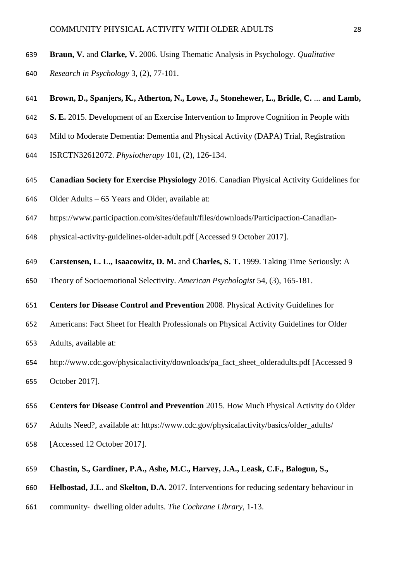- **Braun, V.** and **Clarke, V.** 2006. Using Thematic Analysis in Psychology. *Qualitative*
- *Research in Psychology* 3, (2), 77-101.

#### **Brown, D., Spanjers, K., Atherton, N., Lowe, J., Stonehewer, L., Bridle, C.** ... **and Lamb,**

- **S. E.** 2015. Development of an Exercise Intervention to Improve Cognition in People with
- Mild to Moderate Dementia: Dementia and Physical Activity (DAPA) Trial, Registration
- ISRCTN32612072. *Physiotherapy* 101, (2), 126-134.
- **Canadian Society for Exercise Physiology** 2016. Canadian Physical Activity Guidelines for
- Older Adults 65 Years and Older*,* available at:
- https://www.participaction.com/sites/default/files/downloads/Participaction-Canadian-
- physical-activity-guidelines-older-adult.pdf [Accessed 9 October 2017].
- **Carstensen, L. L., Isaacowitz, D. M.** and **Charles, S. T.** 1999. Taking Time Seriously: A
- Theory of Socioemotional Selectivity. *American Psychologist* 54, (3), 165-181.
- **Centers for Disease Control and Prevention** 2008. Physical Activity Guidelines for
- Americans: Fact Sheet for Health Professionals on Physical Activity Guidelines for Older
- Adults, available at:
- http://www.cdc.gov/physicalactivity/downloads/pa\_fact\_sheet\_olderadults.pdf [Accessed 9 October 2017].
- **Centers for Disease Control and Prevention** 2015. How Much Physical Activity do Older
- Adults Need?, available at: https://www.cdc.gov/physicalactivity/basics/older\_adults/
- [Accessed 12 October 2017].

#### **Chastin, S., Gardiner, P.A., Ashe, M.C., Harvey, J.A., Leask, C.F., Balogun, S.,**

- **Helbostad, J.L.** and **Skelton, D.A.** 2017. Interventions for reducing sedentary behaviour in
- community‐ dwelling older adults. *The Cochrane Library*, 1-13.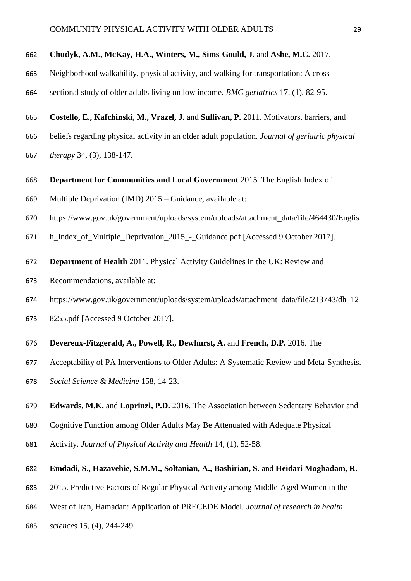#### **Chudyk, A.M., McKay, H.A., Winters, M., Sims-Gould, J.** and **Ashe, M.C.** 2017.

- Neighborhood walkability, physical activity, and walking for transportation: A cross-
- sectional study of older adults living on low income. *BMC geriatrics* 17*,* (1), 82-95.
- **Costello, E., Kafchinski, M., Vrazel, J.** and **Sullivan, P.** 2011. Motivators, barriers, and
- beliefs regarding physical activity in an older adult population. *Journal of geriatric physical*
- *therapy* 34, (3), 138-147.
- **Department for Communities and Local Government** 2015. The English Index of
- Multiple Deprivation (IMD) 2015 Guidance, available at:
- https://www.gov.uk/government/uploads/system/uploads/attachment\_data/file/464430/Englis
- h\_Index\_of\_Multiple\_Deprivation\_2015\_-\_Guidance.pdf [Accessed 9 October 2017].
- **Department of Health** 2011. Physical Activity Guidelines in the UK: Review and
- Recommendations, available at:
- https://www.gov.uk/government/uploads/system/uploads/attachment\_data/file/213743/dh\_12
- 8255.pdf [Accessed 9 October 2017].
- **Devereux-Fitzgerald, A., Powell, R., Dewhurst, A.** and **French, D.P.** 2016. The
- Acceptability of PA Interventions to Older Adults: A Systematic Review and Meta-Synthesis.
- *Social Science & Medicine* 158*,* 14-23.
- **Edwards, M.K.** and **Loprinzi, P.D.** 2016. The Association between Sedentary Behavior and
- Cognitive Function among Older Adults May Be Attenuated with Adequate Physical
- Activity. *Journal of Physical Activity and Health* 14, (1), 52-58.

#### **Emdadi, S., Hazavehie, S.M.M., Soltanian, A., Bashirian, S.** and **Heidari Moghadam, R.**

- 2015. Predictive Factors of Regular Physical Activity among Middle-Aged Women in the
- West of Iran, Hamadan: Application of PRECEDE Model. *Journal of research in health*
- *sciences* 15, (4), 244-249.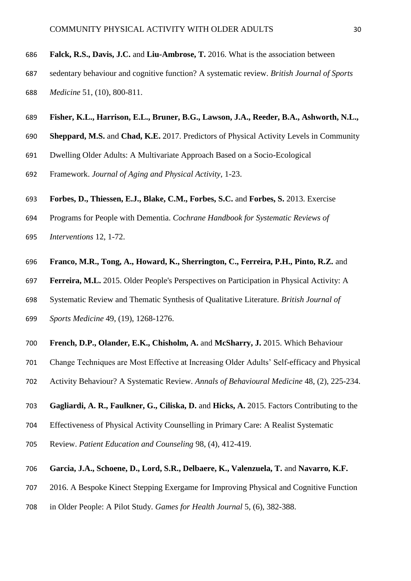- **Falck, R.S., Davis, J.C.** and **Liu-Ambrose, T.** 2016. What is the association between
- sedentary behaviour and cognitive function? A systematic review. *British Journal of Sports Medicine* 51, (10), 800-811.
- **Fisher, K.L., Harrison, E.L., Bruner, B.G., Lawson, J.A., Reeder, B.A., Ashworth, N.L.,**
- **Sheppard, M.S.** and **Chad, K.E.** 2017. Predictors of Physical Activity Levels in Community
- Dwelling Older Adults: A Multivariate Approach Based on a Socio-Ecological
- Framework. *Journal of Aging and Physical Activity*, 1-23.
- **Forbes, D., Thiessen, E.J., Blake, C.M., Forbes, S.C.** and **Forbes, S.** 2013. Exercise
- Programs for People with Dementia. *Cochrane Handbook for Systematic Reviews of*
- *Interventions* 12, 1-72.
- **Franco, M.R., Tong, A., Howard, K., Sherrington, C., Ferreira, P.H., Pinto, R.Z.** and
- **Ferreira, M.L.** 2015. Older People's Perspectives on Participation in Physical Activity: A
- Systematic Review and Thematic Synthesis of Qualitative Literature. *British Journal of*
- *Sports Medicine* 49, (19), 1268-1276.
- **French, D.P., Olander, E.K., Chisholm, A.** and **McSharry, J.** 2015. Which Behaviour
- Change Techniques are Most Effective at Increasing Older Adults' Self-efficacy and Physical
- Activity Behaviour? A Systematic Review. *Annals of Behavioural Medicine* 48, (2), 225-234.
- **Gagliardi, A. R., Faulkner, G., Ciliska, D.** and **Hicks, A.** 2015. Factors Contributing to the
- Effectiveness of Physical Activity Counselling in Primary Care: A Realist Systematic
- Review. *Patient Education and Counseling* 98, (4), 412-419.
- **Garcia, J.A., Schoene, D., Lord, S.R., Delbaere, K., Valenzuela, T.** and **Navarro, K.F.**
- 2016. A Bespoke Kinect Stepping Exergame for Improving Physical and Cognitive Function
- in Older People: A Pilot Study. *Games for Health Journal* 5, (6), 382-388.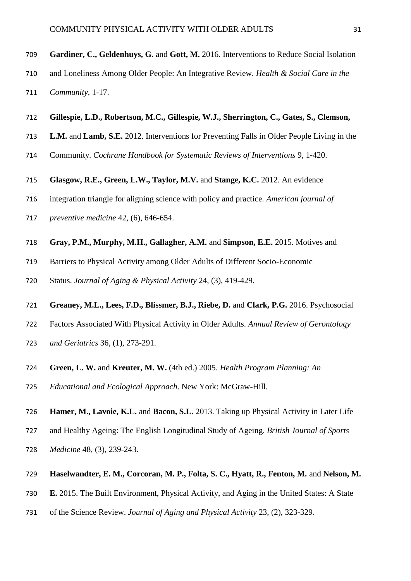- **Gardiner, C., Geldenhuys, G.** and **Gott, M.** 2016. Interventions to Reduce Social Isolation
- and Loneliness Among Older People: An Integrative Review. *Health & Social Care in the Community,* 1-17.
- **Gillespie, L.D., Robertson, M.C., Gillespie, W.J., Sherrington, C., Gates, S., Clemson,**
- **L.M.** and **Lamb, S.E.** 2012. Interventions for Preventing Falls in Older People Living in the
- Community. *Cochrane Handbook for Systematic Reviews of Interventions* 9, 1-420.
- **Glasgow, R.E., Green, L.W., Taylor, M.V.** and **Stange, K.C.** 2012. An evidence
- integration triangle for aligning science with policy and practice. *American journal of*
- *preventive medicine* 42*,* (6), 646-654.
- **Gray, P.M., Murphy, M.H., Gallagher, A.M.** and **Simpson, E.E.** 2015. Motives and
- Barriers to Physical Activity among Older Adults of Different Socio-Economic
- Status. *Journal of Aging & Physical Activity* 24, (3), 419-429.
- **Greaney, M.L., Lees, F.D., Blissmer, B.J., Riebe, D.** and **Clark, P.G.** 2016. Psychosocial
- Factors Associated With Physical Activity in Older Adults. *Annual Review of Gerontology*
- *and Geriatrics* 36, (1), 273-291.
- **Green, L. W.** and **Kreuter, M. W.** (4th ed.) 2005. *Health Program Planning: An*
- *Educational and Ecological Approach*. New York: McGraw-Hill.
- **Hamer, M., Lavoie, K.L.** and **Bacon, S.L.** 2013. Taking up Physical Activity in Later Life
- and Healthy Ageing: The English Longitudinal Study of Ageing. *British Journal of Sports*
- *Medicine* 48, (3), 239-243.
- **Haselwandter, E. M., Corcoran, M. P., Folta, S. C., Hyatt, R., Fenton, M.** and **Nelson, M.**
- **E.** 2015. The Built Environment, Physical Activity, and Aging in the United States: A State
- of the Science Review. *Journal of Aging and Physical Activity* 23, (2), 323-329.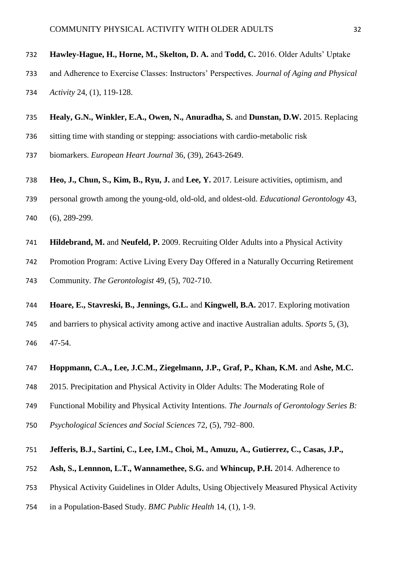# **Hawley-Hague, H., Horne, M., Skelton, D. A.** and **Todd, C.** 2016. Older Adults' Uptake

- and Adherence to Exercise Classes: Instructors' Perspectives. *Journal of Aging and Physical Activity* 24, (1), 119-128.
- **Healy, G.N., Winkler, E.A., Owen, N., Anuradha, S.** and **Dunstan, D.W.** 2015. Replacing
- sitting time with standing or stepping: associations with cardio-metabolic risk
- biomarkers. *European Heart Journal* 36, (39), 2643-2649.
- **Heo, J., Chun, S., Kim, B., Ryu, J.** and **Lee, Y.** 2017. Leisure activities, optimism, and
- personal growth among the young-old, old-old, and oldest-old. *Educational Gerontology* 43, (6), 289-299.
- **Hildebrand, M.** and **Neufeld, P.** 2009. Recruiting Older Adults into a Physical Activity
- Promotion Program: Active Living Every Day Offered in a Naturally Occurring Retirement Community. *The Gerontologist* 49, (5), 702-710.
- **Hoare, E., Stavreski, B., Jennings, G.L.** and **Kingwell, B.A.** 2017. Exploring motivation
- and barriers to physical activity among active and inactive Australian adults. *Sports* 5, (3), 47-54.
- **Hoppmann, C.A., Lee, J.C.M., Ziegelmann, J.P., Graf, P., Khan, K.M.** and **Ashe, M.C.**
- 2015. Precipitation and Physical Activity in Older Adults: The Moderating Role of
- Functional Mobility and Physical Activity Intentions. *The Journals of Gerontology Series B:*
- *Psychological Sciences and Social Sciences* 72, (5), 792–800.

### **Jefferis, B.J., Sartini, C., Lee, I.M., Choi, M., Amuzu, A., Gutierrez, C., Casas, J.P.,**

- **Ash, S., Lennnon, L.T., Wannamethee, S.G.** and **Whincup, P.H.** 2014. Adherence to
- Physical Activity Guidelines in Older Adults, Using Objectively Measured Physical Activity
- in a Population-Based Study. *BMC Public Health* 14, (1), 1-9.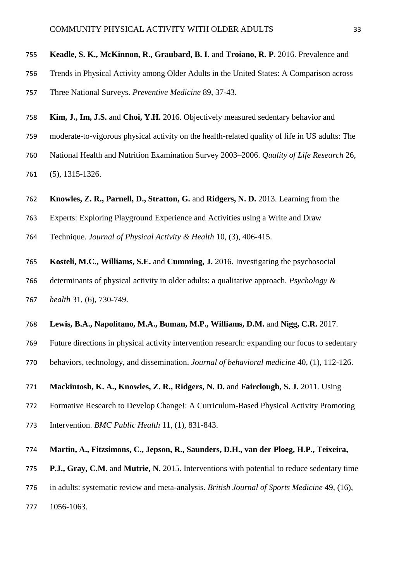#### **Keadle, S. K., McKinnon, R., Graubard, B. I.** and **Troiano, R. P.** 2016. Prevalence and

Trends in Physical Activity among Older Adults in the United States: A Comparison across

Three National Surveys. *Preventive Medicine* 89, 37-43.

- **Kim, J., Im, J.S.** and **Choi, Y.H.** 2016. Objectively measured sedentary behavior and
- moderate-to-vigorous physical activity on the health-related quality of life in US adults: The
- National Health and Nutrition Examination Survey 2003–2006. *Quality of Life Research* 26,
- (5), 1315-1326.
- **Knowles, Z. R., Parnell, D., Stratton, G.** and **Ridgers, N. D.** 2013. Learning from the
- Experts: Exploring Playground Experience and Activities using a Write and Draw
- Technique. *Journal of Physical Activity & Health* 10, (3), 406-415.
- **Kosteli, M.C., Williams, S.E.** and **Cumming, J.** 2016. Investigating the psychosocial determinants of physical activity in older adults: a qualitative approach. *Psychology & health* 31, (6), 730-749.
- **Lewis, B.A., Napolitano, M.A., Buman, M.P., Williams, D.M.** and **Nigg, C.R.** 2017.
- Future directions in physical activity intervention research: expanding our focus to sedentary behaviors, technology, and dissemination. *Journal of behavioral medicine* 40, (1), 112-126.
- **Mackintosh, K. A., Knowles, Z. R., Ridgers, N. D.** and **Fairclough, S. J.** 2011. Using
- Formative Research to Develop Change!: A Curriculum-Based Physical Activity Promoting
- Intervention. *BMC Public Health* 11, (1), 831-843.
- **Martin, A., Fitzsimons, C., Jepson, R., Saunders, D.H., van der Ploeg, H.P., Teixeira,**
- **P.J., Gray, C.M.** and **Mutrie, N.** 2015. Interventions with potential to reduce sedentary time
- in adults: systematic review and meta-analysis. *British Journal of Sports Medicine* 49, (16),
- 1056-1063.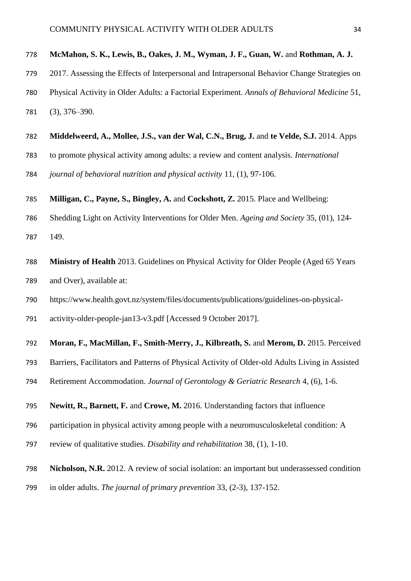## **McMahon, S. K., Lewis, B., Oakes, J. M., Wyman, J. F., Guan, W.** and **Rothman, A. J.**

- 2017. Assessing the Effects of Interpersonal and Intrapersonal Behavior Change Strategies on
- Physical Activity in Older Adults: a Factorial Experiment. *Annals of Behavioral Medicine* 51,
- (3), 376–390.
- **Middelweerd, A., Mollee, J.S., van der Wal, C.N., Brug, J.** and **te Velde, S.J.** 2014. Apps
- to promote physical activity among adults: a review and content analysis. *International*
- *journal of behavioral nutrition and physical activity* 11*,* (1), 97-106.
- **Milligan, C., Payne, S., Bingley, A.** and **Cockshott, Z.** 2015. Place and Wellbeing:
- Shedding Light on Activity Interventions for Older Men. *Ageing and Society* 35, (01), 124- 149.
- **Ministry of Health** 2013. Guidelines on Physical Activity for Older People (Aged 65 Years and Over), available at:
- https://www.health.govt.nz/system/files/documents/publications/guidelines-on-physical-
- activity-older-people-jan13-v3.pdf [Accessed 9 October 2017].
- **Moran, F., MacMillan, F., Smith-Merry, J., Kilbreath, S.** and **Merom, D.** 2015. Perceived
- Barriers, Facilitators and Patterns of Physical Activity of Older-old Adults Living in Assisted
- Retirement Accommodation. *Journal of Gerontology & Geriatric Research* 4, (6), 1-6.
- **Newitt, R., Barnett, F.** and **Crowe, M.** 2016. Understanding factors that influence
- participation in physical activity among people with a neuromusculoskeletal condition: A
- review of qualitative studies. *Disability and rehabilitation* 38*,* (1), 1-10.
- **Nicholson, N.R.** 2012. A review of social isolation: an important but underassessed condition
- in older adults. *The journal of primary prevention* 33, (2-3), 137-152.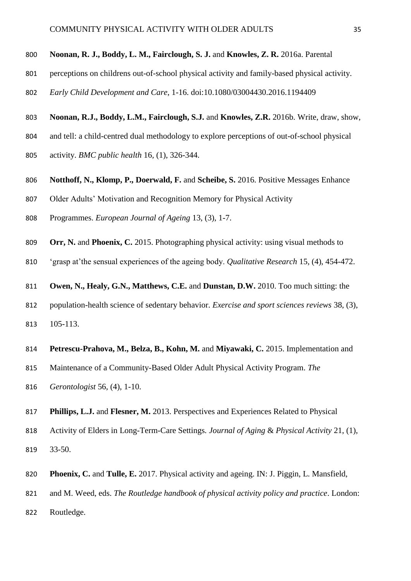#### **Noonan, R. J., Boddy, L. M., Fairclough, S. J.** and **Knowles, Z. R.** 2016a. Parental

- perceptions on childrens out-of-school physical activity and family-based physical activity.
- *Early Child Development and Care*, 1-16. doi:10.1080/03004430.2016.1194409
- **Noonan, R.J., Boddy, L.M., Fairclough, S.J.** and **Knowles, Z.R.** 2016b. Write, draw, show,
- and tell: a child-centred dual methodology to explore perceptions of out-of-school physical
- activity. *BMC public health* 16*,* (1), 326-344.
- **Notthoff, N., Klomp, P., Doerwald, F.** and **Scheibe, S.** 2016. Positive Messages Enhance
- Older Adults' Motivation and Recognition Memory for Physical Activity
- Programmes. *European Journal of Ageing* 13, (3), 1-7.
- **Orr, N.** and **Phoenix, C.** 2015. Photographing physical activity: using visual methods to
- 'grasp at'the sensual experiences of the ageing body. *Qualitative Research* 15*,* (4), 454-472.

**Owen, N., Healy, G.N., Matthews, C.E.** and **Dunstan, D.W.** 2010. Too much sitting: the

- population-health science of sedentary behavior. *Exercise and sport sciences reviews* 38, (3), 105-113.
- **Petrescu-Prahova, M., Belza, B., Kohn, M.** and **Miyawaki, C.** 2015. Implementation and
- Maintenance of a Community-Based Older Adult Physical Activity Program. *The*
- *Gerontologist* 56, (4), 1-10.
- **Phillips, L.J.** and **Flesner, M.** 2013. Perspectives and Experiences Related to Physical
- Activity of Elders in Long-Term-Care Settings*. Journal of Aging* & *Physical Activity* 21, (1), 33-50.
- **Phoenix, C.** and **Tulle, E.** 2017. Physical activity and ageing. IN: J. Piggin, L. Mansfield,
- and M. Weed, eds. *The Routledge handbook of physical activity policy and practice*. London:
- Routledge.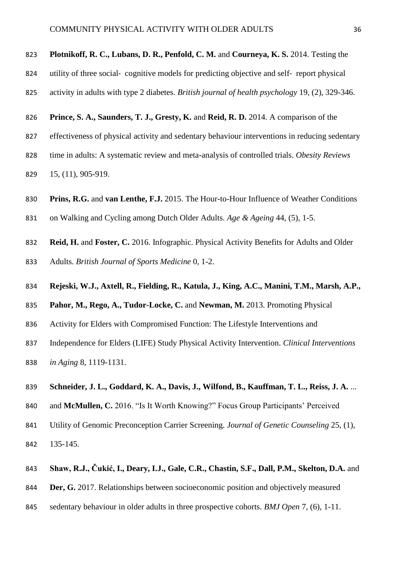**Plotnikoff, R. C., Lubans, D. R., Penfold, C. M.** and **Courneya, K. S.** 2014. Testing the

- 824 utility of three social-cognitive models for predicting objective and self-report physical
- activity in adults with type 2 diabetes. *British journal of health psychology* 19*,* (2), 329-346.
- **Prince, S. A., Saunders, T. J., Gresty, K.** and **Reid, R. D.** 2014. A comparison of the
- effectiveness of physical activity and sedentary behaviour interventions in reducing sedentary
- time in adults: A systematic review and meta-analysis of controlled trials. *Obesity Reviews* 15, (11), 905-919.
- **Prins, R.G.** and **van Lenthe, F.J.** 2015. The Hour-to-Hour Influence of Weather Conditions
- on Walking and Cycling among Dutch Older Adults. *Age & Ageing* 44, (5), 1-5.
- **Reid, H.** and **Foster, C.** 2016. Infographic. Physical Activity Benefits for Adults and Older Adults. *British Journal of Sports Medicine* 0*,* 1-2.
- **Rejeski, W.J., Axtell, R., Fielding, R., Katula, J., King, A.C., Manini, T.M., Marsh, A.P.,**
- **Pahor, M., Rego, A., Tudor-Locke, C.** and **Newman, M.** 2013. Promoting Physical
- Activity for Elders with Compromised Function: The Lifestyle Interventions and
- Independence for Elders (LIFE) Study Physical Activity Intervention. *Clinical Interventions*
- *in Aging* 8, 1119-1131.
- **Schneider, J. L., Goddard, K. A., Davis, J., Wilfond, B., Kauffman, T. L., Reiss, J. A.** ...
- and **McMullen, C.** 2016. "Is It Worth Knowing?" Focus Group Participants' Perceived
- Utility of Genomic Preconception Carrier Screening. *Journal of Genetic Counseling* 25, (1),
- 135-145.
- **Shaw, R.J., Čukić, I., Deary, I.J., Gale, C.R., Chastin, S.F., Dall, P.M., Skelton, D.A.** and
- **Der, G.** 2017. Relationships between socioeconomic position and objectively measured
- sedentary behaviour in older adults in three prospective cohorts. *BMJ Open* 7*,* (6), 1-11.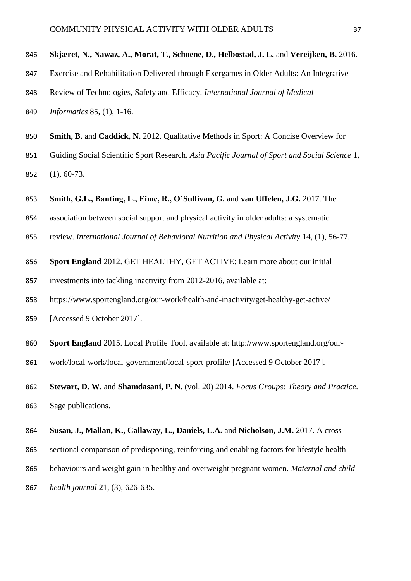```
846 Skjæret, N., Nawaz, A., Morat, T., Schoene, D., Helbostad, J. L. and Vereijken, B. 2016.
```
- Exercise and Rehabilitation Delivered through Exergames in Older Adults: An Integrative
- Review of Technologies, Safety and Efficacy. *International Journal of Medical*
- *Informatics* 85, (1), 1-16.
- **Smith, B.** and **Caddick, N.** 2012. Qualitative Methods in Sport: A Concise Overview for
- Guiding Social Scientific Sport Research. *Asia Pacific Journal of Sport and Social Science* 1, (1), 60-73.
- **Smith, G.L., Banting, L., Eime, R., O'Sullivan, G.** and **van Uffelen, J.G.** 2017. The
- association between social support and physical activity in older adults: a systematic
- review. *International Journal of Behavioral Nutrition and Physical Activity* 14*,* (1), 56-77.
- **Sport England** 2012. GET HEALTHY, GET ACTIVE: Learn more about our initial
- investments into tackling inactivity from 2012-2016, available at:
- https://www.sportengland.org/our-work/health-and-inactivity/get-healthy-get-active/
- [Accessed 9 October 2017].
- **Sport England** 2015. Local Profile Tool, available at: http://www.sportengland.org/our-
- work/local-work/local-government/local-sport-profile/ [Accessed 9 October 2017].
- **Stewart, D. W.** and **Shamdasani, P. N.** (vol. 20) 2014. *Focus Groups: Theory and Practice*. Sage publications.
- **Susan, J., Mallan, K., Callaway, L., Daniels, L.A.** and **Nicholson, J.M.** 2017. A cross
- sectional comparison of predisposing, reinforcing and enabling factors for lifestyle health
- behaviours and weight gain in healthy and overweight pregnant women. *Maternal and child*
- *health journal* 21, (3), 626-635.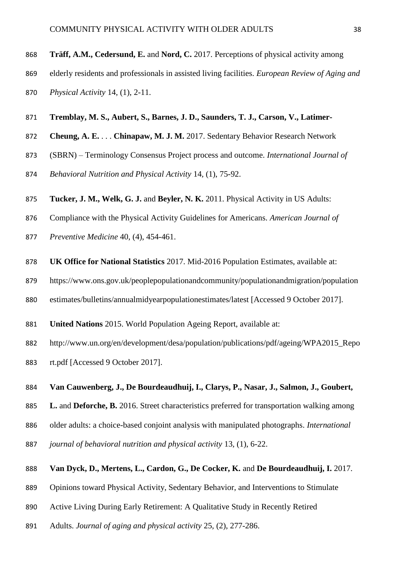**Träff, A.M., Cedersund, E.** and **Nord, C.** 2017. Perceptions of physical activity among

- elderly residents and professionals in assisted living facilities. *European Review of Aging and*
- *Physical Activity* 14, (1), 2-11.
- **Tremblay, M. S., Aubert, S., Barnes, J. D., Saunders, T. J., Carson, V., Latimer-**
- **Cheung, A. E.** . . . **Chinapaw, M. J. M.** 2017. Sedentary Behavior Research Network
- (SBRN) Terminology Consensus Project process and outcome. *International Journal of*
- *Behavioral Nutrition and Physical Activity* 14*,* (1), 75-92.
- **Tucker, J. M., Welk, G. J.** and **Beyler, N. K.** 2011. Physical Activity in US Adults:
- Compliance with the Physical Activity Guidelines for Americans. *American Journal of*
- *Preventive Medicine* 40, (4), 454-461.
- **UK Office for National Statistics** 2017. Mid-2016 Population Estimates, available at:
- https://www.ons.gov.uk/peoplepopulationandcommunity/populationandmigration/population
- estimates/bulletins/annualmidyearpopulationestimates/latest [Accessed 9 October 2017].
- **United Nations** 2015. World Population Ageing Report, available at:
- http://www.un.org/en/development/desa/population/publications/pdf/ageing/WPA2015\_Repo rt.pdf [Accessed 9 October 2017].
- **Van Cauwenberg, J., De Bourdeaudhuij, I., Clarys, P., Nasar, J., Salmon, J., Goubert,**
- **L.** and **Deforche, B.** 2016. Street characteristics preferred for transportation walking among
- older adults: a choice-based conjoint analysis with manipulated photographs. *International*
- *journal of behavioral nutrition and physical activity* 13*,* (1), 6-22.
- **Van Dyck, D., Mertens, L., Cardon, G., De Cocker, K.** and **De Bourdeaudhuij, I.** 2017.
- Opinions toward Physical Activity, Sedentary Behavior, and Interventions to Stimulate
- Active Living During Early Retirement: A Qualitative Study in Recently Retired
- Adults. *Journal of aging and physical activity* 25*,* (2), 277-286.